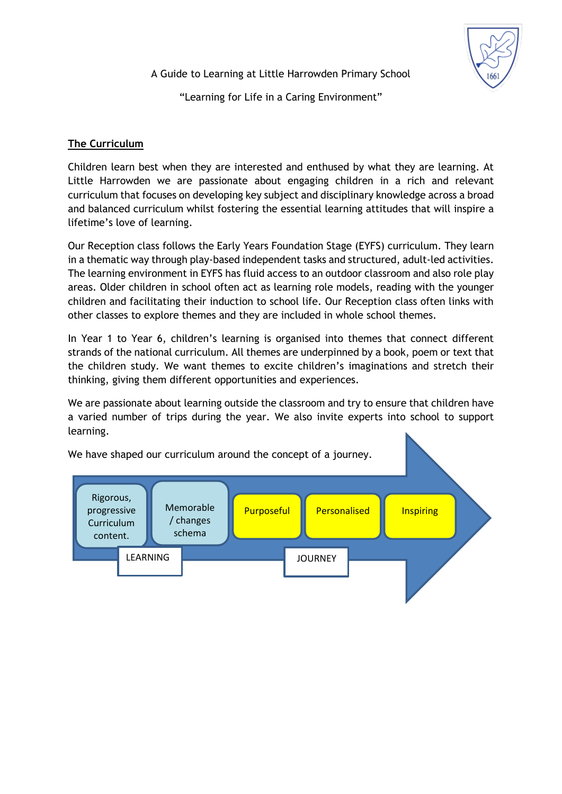A Guide to Learning at Little Harrowden Primary School

"Learning for Life in a Caring Environment"

# **The Curriculum**

Children learn best when they are interested and enthused by what they are learning. At Little Harrowden we are passionate about engaging children in a rich and relevant curriculum that focuses on developing key subject and disciplinary knowledge across a broad and balanced curriculum whilst fostering the essential learning attitudes that will inspire a lifetime's love of learning.

Our Reception class follows the Early Years Foundation Stage (EYFS) curriculum. They learn in a thematic way through play-based independent tasks and structured, adult-led activities. The learning environment in EYFS has fluid access to an outdoor classroom and also role play areas. Older children in school often act as learning role models, reading with the younger children and facilitating their induction to school life. Our Reception class often links with other classes to explore themes and they are included in whole school themes.

In Year 1 to Year 6, children's learning is organised into themes that connect different strands of the national curriculum. All themes are underpinned by a book, poem or text that the children study. We want themes to excite children's imaginations and stretch their thinking, giving them different opportunities and experiences.

We are passionate about learning outside the classroom and try to ensure that children have a varied number of trips during the year. We also invite experts into school to support learning.

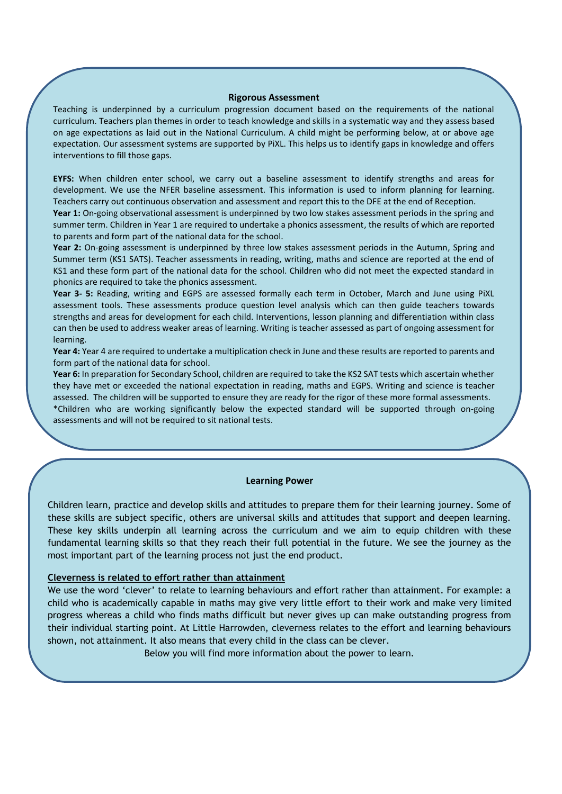#### **Rigorous Assessment**

Teaching is underpinned by a curriculum progression document based on the requirements of the national curriculum. Teachers plan themes in order to teach knowledge and skills in a systematic way and they assess based on age expectations as laid out in the National Curriculum. A child might be performing below, at or above age expectation. Our assessment systems are supported by PiXL. This helps us to identify gaps in knowledge and offers interventions to fill those gaps.

**EYFS:** When children enter school, we carry out a baseline assessment to identify strengths and areas for development. We use the NFER baseline assessment. This information is used to inform planning for learning. Teachers carry out continuous observation and assessment and report this to the DFE at the end of Reception.

**Year 1:** On-going observational assessment is underpinned by two low stakes assessment periods in the spring and summer term. Children in Year 1 are required to undertake a phonics assessment, the results of which are reported to parents and form part of the national data for the school.

**Year 2:** On-going assessment is underpinned by three low stakes assessment periods in the Autumn, Spring and Summer term (KS1 SATS). Teacher assessments in reading, writing, maths and science are reported at the end of KS1 and these form part of the national data for the school. Children who did not meet the expected standard in phonics are required to take the phonics assessment.

**Year 3- 5:** Reading, writing and EGPS are assessed formally each term in October, March and June using PiXL assessment tools. These assessments produce question level analysis which can then guide teachers towards strengths and areas for development for each child. Interventions, lesson planning and differentiation within class can then be used to address weaker areas of learning. Writing is teacher assessed as part of ongoing assessment for learning.

**Year 4:** Year 4 are required to undertake a multiplication check in June and these results are reported to parents and form part of the national data for school.

**Year 6:** In preparation for Secondary School, children are required to take the KS2 SAT tests which ascertain whether they have met or exceeded the national expectation in reading, maths and EGPS. Writing and science is teacher assessed. The children will be supported to ensure they are ready for the rigor of these more formal assessments. \*Children who are working significantly below the expected standard will be supported through on-going assessments and will not be required to sit national tests.

#### **Learning Power**

Children learn, practice and develop skills and attitudes to prepare them for their learning journey. Some of these skills are subject specific, others are universal skills and attitudes that support and deepen learning. These key skills underpin all learning across the curriculum and we aim to equip children with these fundamental learning skills so that they reach their full potential in the future. We see the journey as the most important part of the learning process not just the end product.

#### **Cleverness is related to effort rather than attainment**

We use the word 'clever' to relate to learning behaviours and effort rather than attainment. For example: a child who is academically capable in maths may give very little effort to their work and make very limited progress whereas a child who finds maths difficult but never gives up can make outstanding progress from their individual starting point. At Little Harrowden, cleverness relates to the effort and learning behaviours shown, not attainment. It also means that every child in the class can be clever.

Below you will find more information about the power to learn.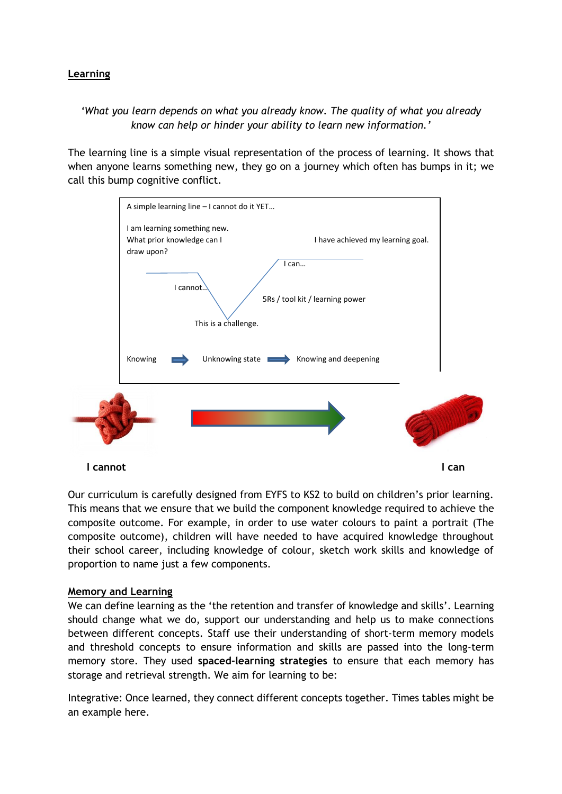### **Learning**

# *'What you learn depends on what you already know. The quality of what you already know can help or hinder your ability to learn new information.'*

The learning line is a simple visual representation of the process of learning. It shows that when anyone learns something new, they go on a journey which often has bumps in it; we call this bump cognitive conflict.



Our curriculum is carefully designed from EYFS to KS2 to build on children's prior learning. This means that we ensure that we build the component knowledge required to achieve the composite outcome. For example, in order to use water colours to paint a portrait (The composite outcome), children will have needed to have acquired knowledge throughout their school career, including knowledge of colour, sketch work skills and knowledge of proportion to name just a few components.

### **Memory and Learning**

We can define learning as the 'the retention and transfer of knowledge and skills'. Learning should change what we do, support our understanding and help us to make connections between different concepts. Staff use their understanding of short-term memory models and threshold concepts to ensure information and skills are passed into the long-term memory store. They used **spaced-learning strategies** to ensure that each memory has storage and retrieval strength. We aim for learning to be:

Integrative: Once learned, they connect different concepts together. Times tables might be an example here.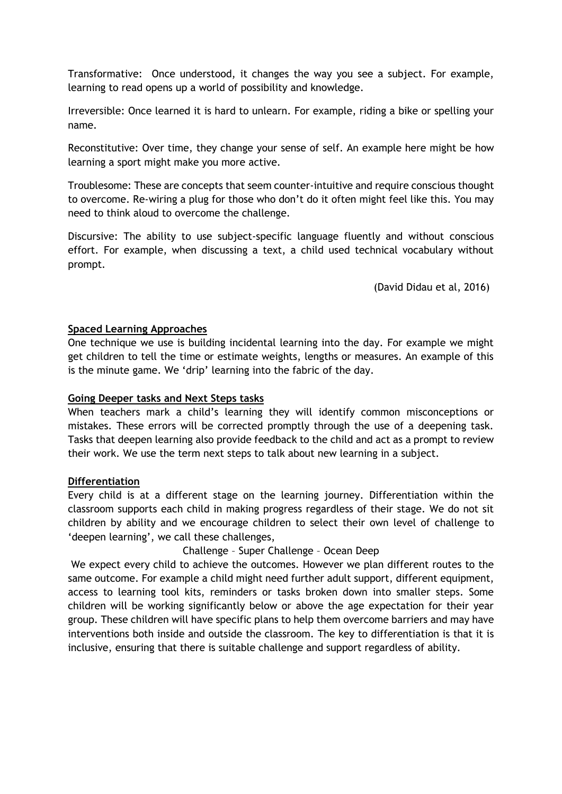Transformative: Once understood, it changes the way you see a subject. For example, learning to read opens up a world of possibility and knowledge.

Irreversible: Once learned it is hard to unlearn. For example, riding a bike or spelling your name.

Reconstitutive: Over time, they change your sense of self. An example here might be how learning a sport might make you more active.

Troublesome: These are concepts that seem counter-intuitive and require conscious thought to overcome. Re-wiring a plug for those who don't do it often might feel like this. You may need to think aloud to overcome the challenge.

Discursive: The ability to use subject-specific language fluently and without conscious effort. For example, when discussing a text, a child used technical vocabulary without prompt.

(David Didau et al, 2016)

### **Spaced Learning Approaches**

One technique we use is building incidental learning into the day. For example we might get children to tell the time or estimate weights, lengths or measures. An example of this is the minute game. We 'drip' learning into the fabric of the day.

### **Going Deeper tasks and Next Steps tasks**

When teachers mark a child's learning they will identify common misconceptions or mistakes. These errors will be corrected promptly through the use of a deepening task. Tasks that deepen learning also provide feedback to the child and act as a prompt to review their work. We use the term next steps to talk about new learning in a subject.

### **Differentiation**

Every child is at a different stage on the learning journey. Differentiation within the classroom supports each child in making progress regardless of their stage. We do not sit children by ability and we encourage children to select their own level of challenge to 'deepen learning', we call these challenges,

Challenge – Super Challenge – Ocean Deep

We expect every child to achieve the outcomes. However we plan different routes to the same outcome. For example a child might need further adult support, different equipment, access to learning tool kits, reminders or tasks broken down into smaller steps. Some children will be working significantly below or above the age expectation for their year group. These children will have specific plans to help them overcome barriers and may have interventions both inside and outside the classroom. The key to differentiation is that it is inclusive, ensuring that there is suitable challenge and support regardless of ability.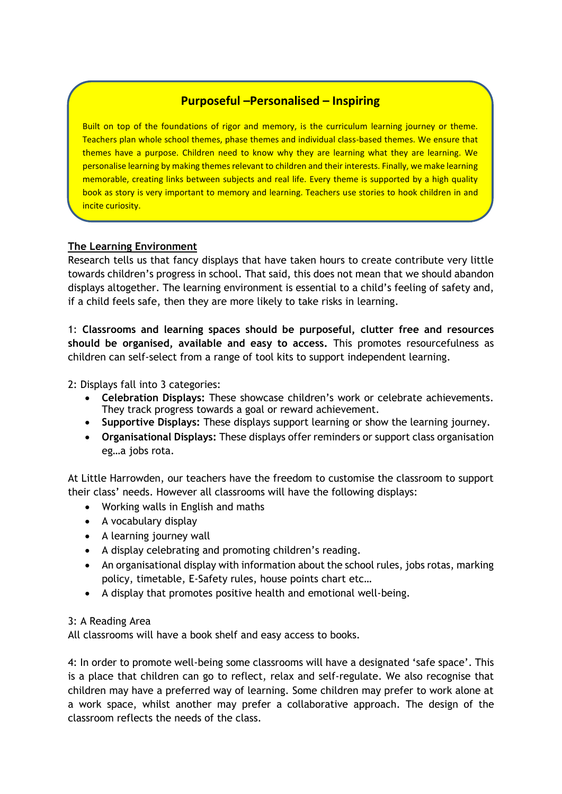# **Purposeful –Personalised – Inspiring**

Built on top of the foundations of rigor and memory, is the curriculum learning journey or theme. Teachers plan whole school themes, phase themes and individual class-based themes. We ensure that themes have a purpose. Children need to know why they are learning what they are learning. We personalise learning by making themes relevant to children and their interests. Finally, we make learning memorable, creating links between subjects and real life. Every theme is supported by a high quality book as story is very important to memory and learning. Teachers use stories to hook children in and incite curiosity.

## **The Learning Environment**

Research tells us that fancy displays that have taken hours to create contribute very little towards children's progress in school. That said, this does not mean that we should abandon displays altogether. The learning environment is essential to a child's feeling of safety and, if a child feels safe, then they are more likely to take risks in learning.

1: **Classrooms and learning spaces should be purposeful, clutter free and resources should be organised, available and easy to access.** This promotes resourcefulness as children can self-select from a range of tool kits to support independent learning.

2: Displays fall into 3 categories:

- **Celebration Displays:** These showcase children's work or celebrate achievements. They track progress towards a goal or reward achievement.
- **Supportive Displays:** These displays support learning or show the learning journey.
- **Organisational Displays:** These displays offer reminders or support class organisation eg…a jobs rota.

At Little Harrowden, our teachers have the freedom to customise the classroom to support their class' needs. However all classrooms will have the following displays:

- Working walls in English and maths
- A vocabulary display
- A learning journey wall
- A display celebrating and promoting children's reading.
- An organisational display with information about the school rules, jobs rotas, marking policy, timetable, E-Safety rules, house points chart etc…
- A display that promotes positive health and emotional well-being.

### 3: A Reading Area

All classrooms will have a book shelf and easy access to books.

4: In order to promote well-being some classrooms will have a designated 'safe space'. This is a place that children can go to reflect, relax and self-regulate. We also recognise that children may have a preferred way of learning. Some children may prefer to work alone at a work space, whilst another may prefer a collaborative approach. The design of the classroom reflects the needs of the class.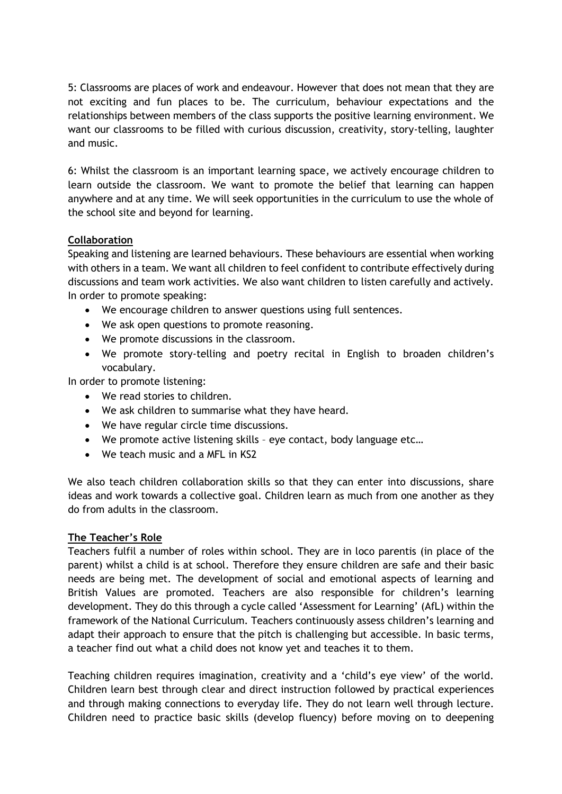5: Classrooms are places of work and endeavour. However that does not mean that they are not exciting and fun places to be. The curriculum, behaviour expectations and the relationships between members of the class supports the positive learning environment. We want our classrooms to be filled with curious discussion, creativity, story-telling, laughter and music.

6: Whilst the classroom is an important learning space, we actively encourage children to learn outside the classroom. We want to promote the belief that learning can happen anywhere and at any time. We will seek opportunities in the curriculum to use the whole of the school site and beyond for learning.

## **Collaboration**

Speaking and listening are learned behaviours. These behaviours are essential when working with others in a team. We want all children to feel confident to contribute effectively during discussions and team work activities. We also want children to listen carefully and actively. In order to promote speaking:

- We encourage children to answer questions using full sentences.
- We ask open questions to promote reasoning.
- We promote discussions in the classroom.
- We promote story-telling and poetry recital in English to broaden children's vocabulary.

In order to promote listening:

- We read stories to children.
- We ask children to summarise what they have heard.
- We have regular circle time discussions.
- We promote active listening skills eye contact, body language etc…
- We teach music and a MFL in KS2

We also teach children collaboration skills so that they can enter into discussions, share ideas and work towards a collective goal. Children learn as much from one another as they do from adults in the classroom.

### **The Teacher's Role**

Teachers fulfil a number of roles within school. They are in loco parentis (in place of the parent) whilst a child is at school. Therefore they ensure children are safe and their basic needs are being met. The development of social and emotional aspects of learning and British Values are promoted. Teachers are also responsible for children's learning development. They do this through a cycle called 'Assessment for Learning' (AfL) within the framework of the National Curriculum. Teachers continuously assess children's learning and adapt their approach to ensure that the pitch is challenging but accessible. In basic terms, a teacher find out what a child does not know yet and teaches it to them.

Teaching children requires imagination, creativity and a 'child's eye view' of the world. Children learn best through clear and direct instruction followed by practical experiences and through making connections to everyday life. They do not learn well through lecture. Children need to practice basic skills (develop fluency) before moving on to deepening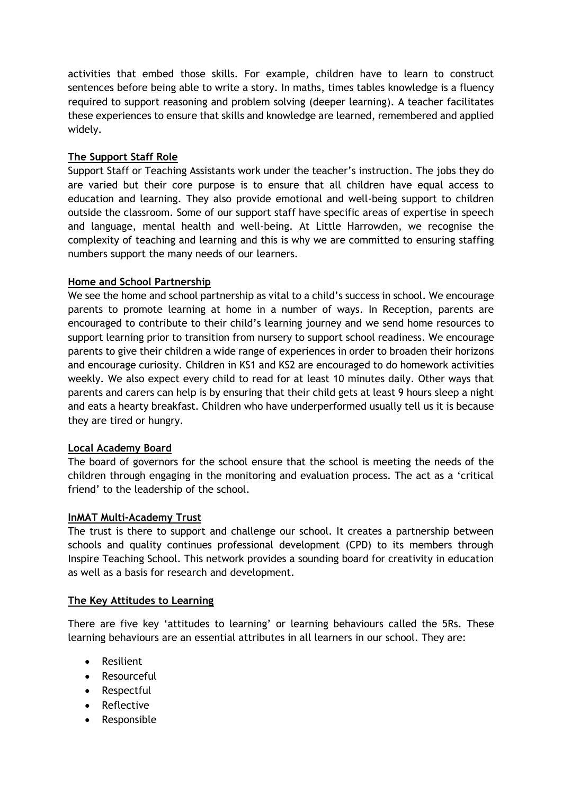activities that embed those skills. For example, children have to learn to construct sentences before being able to write a story. In maths, times tables knowledge is a fluency required to support reasoning and problem solving (deeper learning). A teacher facilitates these experiences to ensure that skills and knowledge are learned, remembered and applied widely.

### **The Support Staff Role**

Support Staff or Teaching Assistants work under the teacher's instruction. The jobs they do are varied but their core purpose is to ensure that all children have equal access to education and learning. They also provide emotional and well-being support to children outside the classroom. Some of our support staff have specific areas of expertise in speech and language, mental health and well-being. At Little Harrowden, we recognise the complexity of teaching and learning and this is why we are committed to ensuring staffing numbers support the many needs of our learners.

### **Home and School Partnership**

We see the home and school partnership as vital to a child's success in school. We encourage parents to promote learning at home in a number of ways. In Reception, parents are encouraged to contribute to their child's learning journey and we send home resources to support learning prior to transition from nursery to support school readiness. We encourage parents to give their children a wide range of experiences in order to broaden their horizons and encourage curiosity. Children in KS1 and KS2 are encouraged to do homework activities weekly. We also expect every child to read for at least 10 minutes daily. Other ways that parents and carers can help is by ensuring that their child gets at least 9 hours sleep a night and eats a hearty breakfast. Children who have underperformed usually tell us it is because they are tired or hungry.

### **Local Academy Board**

The board of governors for the school ensure that the school is meeting the needs of the children through engaging in the monitoring and evaluation process. The act as a 'critical friend' to the leadership of the school.

### **InMAT Multi-Academy Trust**

The trust is there to support and challenge our school. It creates a partnership between schools and quality continues professional development (CPD) to its members through Inspire Teaching School. This network provides a sounding board for creativity in education as well as a basis for research and development.

### **The Key Attitudes to Learning**

There are five key 'attitudes to learning' or learning behaviours called the 5Rs. These learning behaviours are an essential attributes in all learners in our school. They are:

- Resilient
- Resourceful
- Respectful
- Reflective
- Responsible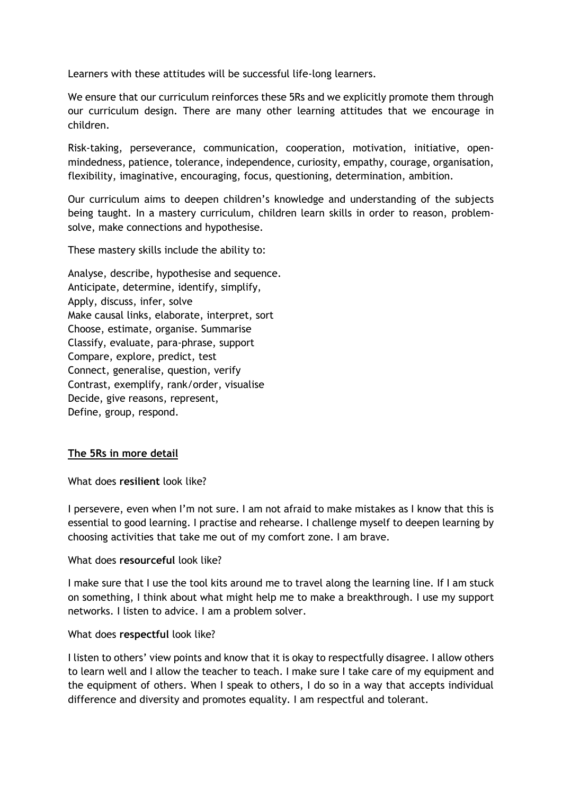Learners with these attitudes will be successful life-long learners.

We ensure that our curriculum reinforces these 5Rs and we explicitly promote them through our curriculum design. There are many other learning attitudes that we encourage in children.

Risk-taking, perseverance, communication, cooperation, motivation, initiative, openmindedness, patience, tolerance, independence, curiosity, empathy, courage, organisation, flexibility, imaginative, encouraging, focus, questioning, determination, ambition.

Our curriculum aims to deepen children's knowledge and understanding of the subjects being taught. In a mastery curriculum, children learn skills in order to reason, problemsolve, make connections and hypothesise.

These mastery skills include the ability to:

Analyse, describe, hypothesise and sequence. Anticipate, determine, identify, simplify, Apply, discuss, infer, solve Make causal links, elaborate, interpret, sort Choose, estimate, organise. Summarise Classify, evaluate, para-phrase, support Compare, explore, predict, test Connect, generalise, question, verify Contrast, exemplify, rank/order, visualise Decide, give reasons, represent, Define, group, respond.

### **The 5Rs in more detail**

What does **resilient** look like?

I persevere, even when I'm not sure. I am not afraid to make mistakes as I know that this is essential to good learning. I practise and rehearse. I challenge myself to deepen learning by choosing activities that take me out of my comfort zone. I am brave.

#### What does **resourceful** look like?

I make sure that I use the tool kits around me to travel along the learning line. If I am stuck on something, I think about what might help me to make a breakthrough. I use my support networks. I listen to advice. I am a problem solver.

#### What does **respectful** look like?

I listen to others' view points and know that it is okay to respectfully disagree. I allow others to learn well and I allow the teacher to teach. I make sure I take care of my equipment and the equipment of others. When I speak to others, I do so in a way that accepts individual difference and diversity and promotes equality. I am respectful and tolerant.